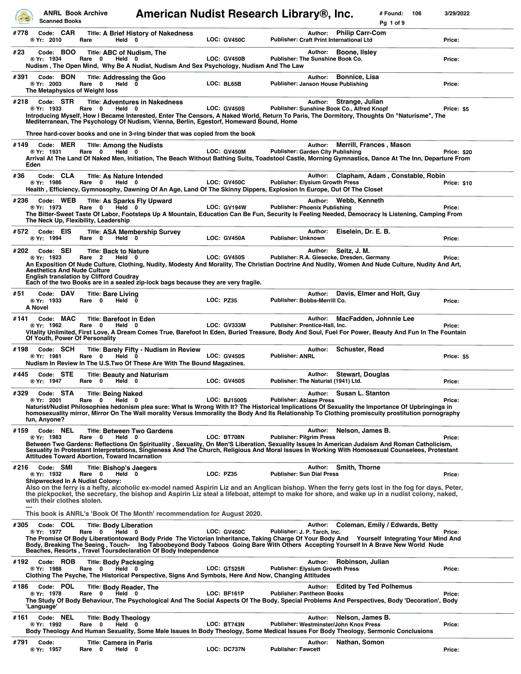|      |         | <b>Scanned Books</b>                    | <b>ANRL Book Archive</b>                                                                                                                 | American Nudist Research Library®, Inc.                                                                                                                                                                                                                                                                                                                          |                    |                                                 |                |                                                               | # Found:<br>106<br>Pg 1 of 9    | 3/29/2022   |
|------|---------|-----------------------------------------|------------------------------------------------------------------------------------------------------------------------------------------|------------------------------------------------------------------------------------------------------------------------------------------------------------------------------------------------------------------------------------------------------------------------------------------------------------------------------------------------------------------|--------------------|-------------------------------------------------|----------------|---------------------------------------------------------------|---------------------------------|-------------|
| #778 |         | Code: CAR<br>® Yr: 2010                 | Held 0<br>Rare                                                                                                                           | <b>Title: A Brief History of Nakedness</b>                                                                                                                                                                                                                                                                                                                       | <b>LOC: GV450C</b> | <b>Publisher: Craft Print International Ltd</b> |                | Author: Philip Carr-Com                                       |                                 | Price:      |
| #23  |         | Code: BOO<br>® Yr: 1934                 | Title: ABC of Nudism, The<br>Rare 0<br>Held 0                                                                                            | Nudism, The Open Mind, Why Be A Nudist, Nudism And Sex Psychology, Nudism And The Law                                                                                                                                                                                                                                                                            | LOC: GV450B        | Publisher: The Sunshine Book Co.                | Author:        | Boone, Ilsley                                                 |                                 | Price:      |
| #391 |         | Code: BON<br>® Yr: 2003                 | <b>Title: Addressing the Goo</b><br>Rare 0<br>Held 0<br>The Metaphysics of Weight loss                                                   |                                                                                                                                                                                                                                                                                                                                                                  | LOC: BL65B         | Publisher: Janson House Publishing              | Author:        | <b>Bonnice, Lisa</b>                                          |                                 | Price:      |
| #218 |         | Code: STR<br>® Yr: 1933                 | Rare 0<br>Held 0                                                                                                                         | <b>Title: Adventures in Nakedness</b><br>Introducing Myself, How I Became Interested, Enter The Censors, A Naked World, Return To Paris, The Dormitory, Thoughts On "Naturisme", The<br>Mediterranean, The Psychology Of Nudism, Vienna, Berlin, Egestorf, Homeward Bound, Home<br>Three hard-cover books and one in 3-ring binder that was copied from the book | <b>LOC: GV450S</b> |                                                 | Author:        | Strange, Julian<br>Publisher: Sunshine Book Co., Alfred Knopf |                                 | Price: \$5  |
| #149 | Eden    | Code: MER<br>® Yr: 1931                 | <b>Title: Among the Nudists</b><br>Rare 0<br>Held 0                                                                                      | Arrival At The Land Of Naked Men, Initiation, The Beach Without Bathing Suits, Toadstool Castle, Morning Gymnastics, Dance At The Inn, Departure From                                                                                                                                                                                                            | <b>LOC: GV450M</b> | <b>Publisher: Garden City Publishing</b>        | Author:        | Merrill, Frances, Mason                                       |                                 | Price: \$20 |
| #36  |         | Code: CLA<br>® Yr: 1986                 | <b>Title: As Nature Intended</b><br>Rare 0<br>Held 0                                                                                     | Health , Efficiency, Gymnosophy, Dawning Of An Age, Land Of The Skinny Dippers, Explosion In Europe, Out Of The Closet                                                                                                                                                                                                                                           | <b>LOC: GV450C</b> | <b>Publisher: Elysium Growth Press</b>          | Author:        |                                                               | Clapham, Adam, Constable, Robin | Price: \$10 |
| #236 |         | Code: WEB<br>® Yr: 1973                 | <b>Title: As Sparks Fly Upward</b><br>Rare 0<br>Held 0<br>The Neck Up, Flexibility, Leadership                                           | The Bitter-Sweet Taste Of Labor, Footsteps Up A Mountain, Education Can Be Fun, Security Is Feeling Needed, Democracy Is Listening, Camping From                                                                                                                                                                                                                 | <b>LOC: GV194W</b> | <b>Publisher: Phoenix Publishing</b>            |                | Author: Webb, Kenneth                                         |                                 | Price:      |
| #572 |         | Code: EIS<br>® Yr: 1994                 | Rare 0<br>Held 0                                                                                                                         | <b>Title: ASA Membership Survey</b>                                                                                                                                                                                                                                                                                                                              | LOC: GV450A        | <b>Publisher: Unknown</b>                       | Author:        | Eiselein, Dr. E. B.                                           |                                 | Price:      |
| #202 |         | Code: SEI<br>® Yr: 1923                 | <b>Title: Back to Nature</b><br>Rare 2<br>Held 0<br><b>Aesthetics And Nude Culture</b><br><b>English translation by Clifford Coudray</b> | An Exposition Of Nude Culture, Clothing, Nudity, Modesty And Morality, The Christian Doctrine And Nudity, Women And Nude Culture, Nudity And Art,<br>Each of the two Books are in a sealed zip-lock bags because they are very fragile.                                                                                                                          | <b>LOC: GV450S</b> |                                                 | Author:        | Seitz, J. M.<br>Publisher: R.A. Giesecke, Dresden, Germany    |                                 | Price:      |
| #51  | A Novel | Code: DAV<br>® Yr: 1933                 | <b>Title: Bare Living</b><br>Rare 0<br>Held 0                                                                                            |                                                                                                                                                                                                                                                                                                                                                                  | <b>LOC: PZ35</b>   | Publisher: Bobbs-Merrill Co.                    | Author:        | Davis, Elmer and Holt, Guy                                    |                                 | Price:      |
| #141 |         | Code: MAC<br>® Yr: 1962                 | <b>Title: Barefoot in Eden</b><br>Rare 0<br>Held 0<br>Of Youth, Power Of Personality                                                     | Vitality Unlimited, First Love, A Dream Comes True, Barefoot In Eden, Buried Treasure, Body And Soul, Fuel For Power, Beauty And Fun In The Fountain                                                                                                                                                                                                             | <b>LOC: GV333M</b> | Publisher: Prentice-Hall, Inc.                  | Author:        | MacFadden, Johnnie Lee                                        |                                 | Price:      |
| #198 |         | Code: SCH<br>® Yr: 1981                 | Rare 0<br>Held 0                                                                                                                         | <b>Title: Barely Fifty - Nudism in Review</b><br>Nudism In Review In The U.S. Two Of These Are With The Bound Magazines.                                                                                                                                                                                                                                         | <b>LOC: GV450S</b> | <b>Publisher: ANRL</b>                          | <b>Author:</b> | <b>Schuster, Read</b>                                         |                                 | Price: \$5  |
| #445 |         | Code: STE<br>® Yr: 1947                 | <b>Title: Beauty and Naturism</b><br>Rare 0<br>Held 0                                                                                    |                                                                                                                                                                                                                                                                                                                                                                  | <b>LOC: GV450S</b> | Publisher: The Naturist (1941) Ltd.             | Author:        | <b>Stewart, Douglas</b>                                       |                                 | Price:      |
| #329 |         | Code: STA<br>® Yr: 2001<br>fun, Anyone? | <b>Title: Being Naked</b><br>Rare 0<br>Held                                                                                              | 0<br>Naturist/Nudist Philosophies hedonism plea sure: What Is Wrong With It? The Historical Implications Of Sexuality the Importance Of Upbringings in<br>homosexuality mirror, Mirror On The Wall morality Versus Immorality the Body And Its Relationship To Clothing promiscuity prostitution pornography                                                     | LOC: BJ1500S       | <b>Publisher: Ablaze Press</b>                  | <b>Author:</b> | Susan L. Stanton                                              |                                 | Price:      |
| #159 |         | Code: NEL<br>® Yr: 1983                 | <b>Title: Between Two Gardens</b><br>Rare 0<br>Held 0<br>Attitudes Toward Abortion, Toward Incarnation                                   | Between Two Gardens: Reflections On Spirituality , Sexuality, On Men'S Liberation, Sexuality Issues In American Judaism And Roman Catholicism,<br>Sexuality In Protestant Interpretations, Singleness And The Church, Religious And Moral Issues In Working With Homosexual Counselees, Protestant                                                               | LOC: BT708N        | <b>Publisher: Pilgrim Press</b>                 | Author:        | Nelson, James B.                                              |                                 | Price:      |
| #216 |         | Code: SMI<br>® Yr: 1932                 | Title: Bishop's Jaegers<br>Held 0<br>Rare 0<br><b>Shipwrecked In A Nudist Colony:</b><br>with their clothes stolen.                      | Also on the ferry is a hefty, alcoholic ex-model named Aspirin Liz and an Anglican bishop. When the ferry gets lost in the fog for days, Peter,<br>the pickpocket, the secretary, the bishop and Aspirin Liz steal a lifeboat, attempt to make for shore, and wake up in a nudist colony, naked,                                                                 | <b>LOC: PZ35</b>   | <b>Publisher: Sun Dial Press</b>                | Author:        | <b>Smith, Thorne</b>                                          |                                 | Price:      |
|      |         |                                         |                                                                                                                                          | This book is ANRL's 'Book Of The Month' recommendation for August 2020.                                                                                                                                                                                                                                                                                          |                    |                                                 |                |                                                               |                                 |             |
| #305 |         | Code: COL<br>® Yr: 1977                 | <b>Title: Body Liberation</b><br>Rare 0<br>Held 0                                                                                        | The Promise Of Body Liberationtoward Body Pride The Victorian Inheritance, Taking Charge Of Your Body And Yourself Integrating Your Mind And<br>Body, Breaking The Seeing, Touch- Ing Taboobeyond Body Taboos Going Bare With Others Accepting Yourself In A Brave New World Nude<br>Beaches, Resorts, Travel Toursdeclaration Of Body Independence              | <b>LOC: GV450C</b> | Publisher: J. P. Tarch, Inc.                    | Author:        |                                                               | Coleman, Emily / Edwards, Betty | Price:      |
| #192 |         | Code: ROB<br>® Yr: 1988                 | <b>Title: Body Packaging</b><br>Rare 0<br>Held 0                                                                                         | Clothing The Psyche, The Historical Perspective, Signs And Symbols, Here And Now, Changing Attitudes                                                                                                                                                                                                                                                             | <b>LOC: GT525R</b> | Publisher: Elysium Growth Press                 | Author:        | Robinson, Julian                                              |                                 | Price:      |
| #186 |         | Code: POL<br>® Yr: 1978<br>'Language'   | <b>Title: Body Reader, The</b><br>Rare 0<br>Held 0                                                                                       | The Study Of Body Behaviour, The Psychological And The Social Aspects Of The Body, Special Problems And Perspectives, Body 'Decoration', Body                                                                                                                                                                                                                    | LOC: BF161P        | <b>Publisher: Pantheon Books</b>                | Author:        | <b>Edited by Ted Polhemus</b>                                 |                                 | Price:      |
| #161 |         | Code: NEL<br>® Yr: 1992                 | <b>Title: Body Theology</b><br>Rare 0<br>Held 0                                                                                          | Body Theology And Human Sexuality, Some Male Issues In Body Theology, Some Medical Issues For Body Theology, Sermonic Conclusions                                                                                                                                                                                                                                | LOC: BT743N        |                                                 | Author:        | Nelson, James B.<br>Publisher: Westminster/John Knox Press    |                                 | Price:      |
| #791 |         | Code:<br>® Yr: 1957                     | <b>Title: Camera in Paris</b><br>Rare 0<br>Held 0                                                                                        |                                                                                                                                                                                                                                                                                                                                                                  | LOC: DC737N        | <b>Publisher: Fawcett</b>                       | Author:        | Nathan, Somon                                                 |                                 | Price:      |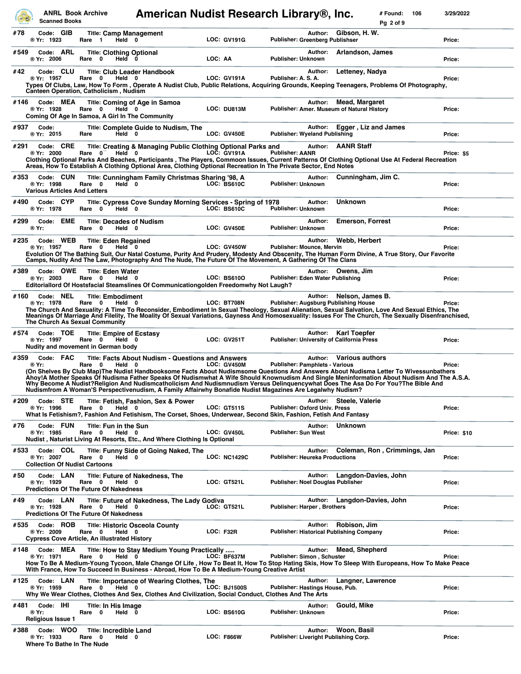|      |       | <b>Scanned Books</b>                  | <b>ANRL Book Archive</b>                                                                         | American Nudist Research Library®, Inc.                                                                                                                                                                                                                                                                                                                                                                                                                                                                                                                                                  |           |                     |                                       |         |                                                                         | # Found:<br>Pq 2 of 9 | 106 | 3/29/2022   |
|------|-------|---------------------------------------|--------------------------------------------------------------------------------------------------|------------------------------------------------------------------------------------------------------------------------------------------------------------------------------------------------------------------------------------------------------------------------------------------------------------------------------------------------------------------------------------------------------------------------------------------------------------------------------------------------------------------------------------------------------------------------------------------|-----------|---------------------|---------------------------------------|---------|-------------------------------------------------------------------------|-----------------------|-----|-------------|
| #78  |       | Code: GIB<br>® Yr: 1923               | <b>Title: Camp Management</b><br>Rare 1<br>Held 0                                                |                                                                                                                                                                                                                                                                                                                                                                                                                                                                                                                                                                                          |           | <b>LOC: GV191G</b>  | Publisher: Greenberg Publishser       | Author: | Gibson, H. W.                                                           |                       |     | Price:      |
| #549 |       | Code: ARL<br>® Yr: 2006               | <b>Title: Clothing Optional</b><br>Rare<br>0<br>Held 0                                           |                                                                                                                                                                                                                                                                                                                                                                                                                                                                                                                                                                                          | LOC: AA   |                     | Publisher: Unknown                    | Author: | Arlandson, James                                                        |                       |     | Price:      |
| #42  |       | Code: CLU<br>® Yr: 1957               | <b>Title: Club Leader Handbook</b><br>Rare 0<br>Held 0<br>Canteen Operation, Catholicism, Nudism | Types Of Clubs, Law, How To Form , Operate A Nudist Club, Public Relations, Acquiring Grounds, Keeping Teenagers, Problems Of Photography,                                                                                                                                                                                                                                                                                                                                                                                                                                               |           | <b>LOC: GV191A</b>  | Publisher: A. S. A.                   | Author: | Letteney, Nadya                                                         |                       |     | Price:      |
| #146 |       | Code: MEA<br>® Yr: 1928               | Rare 0<br>Held 0<br>Coming Of Age In Samoa, A Girl In The Community                              | Title: Coming of Age in Samoa                                                                                                                                                                                                                                                                                                                                                                                                                                                                                                                                                            |           | LOC: DU813M         |                                       | Author: | <b>Mead, Margaret</b><br>Publisher: Amer. Museum of Natural History     |                       |     | Price:      |
| #937 |       | Code:<br>® Yr: 2015                   | Held 0<br>Rare                                                                                   | Title: Complete Guide to Nudism, The                                                                                                                                                                                                                                                                                                                                                                                                                                                                                                                                                     |           | <b>LOC: GV450E</b>  | <b>Publisher: Wyeland Publishing</b>  | Author: | Egger, Liz and James                                                    |                       |     | Price:      |
| #291 |       | Code: CRE<br>® Yr: 2000               | Held 0<br>Rare<br>$\mathbf{0}$                                                                   | Title: Creating & Managing Public Clothing Optional Parks and<br>Clothing Optional Parks And Beaches, Participants, The Players, Commoon Issues, Current Patterns Of Clothing Optional Use At Federal Recreation<br>Areas, How To Establish A Clothing Optional Area, Clothing Optional Recreation In The Private Sector, End Notes                                                                                                                                                                                                                                                      |           | LOC: GV191A         | <b>Publisher: AANR</b>                | Author: | <b>AANR Staff</b>                                                       |                       |     | Price: \$5  |
| #353 |       | Code: CUN<br>® Yr: 1998               | Held 0<br>Rare<br>0<br><b>Various Articles And Letters</b>                                       | Title: Cunningham Family Christmas Sharing '98, A                                                                                                                                                                                                                                                                                                                                                                                                                                                                                                                                        |           | LOC: BS610C         | <b>Publisher: Unknown</b>             | Author: | Cunningham, Jim C.                                                      |                       |     | Price:      |
| #490 |       | Code: CYP<br>® Yr: 1978               | Rare 0<br>Held 0                                                                                 | Title: Cypress Cove Sunday Morning Services - Spring of 1978                                                                                                                                                                                                                                                                                                                                                                                                                                                                                                                             |           | LOC: BS610C         | Publisher: Unknown                    | Author: | <b>Unknown</b>                                                          |                       |     | Price:      |
| #299 | ® Yr: | Code: EME                             | <b>Title: Decades of Nudism</b><br>Rare 0<br>Held 0                                              |                                                                                                                                                                                                                                                                                                                                                                                                                                                                                                                                                                                          |           | <b>LOC: GV450E</b>  | Publisher: Unknown                    | Author: | <b>Emerson, Forrest</b>                                                 |                       |     | Price:      |
| #235 |       | Code: WEB<br>® Yr: 1957               | <b>Title: Eden Regained</b><br>Rare 0<br>Held $0$                                                | Evolution Of The Bathing Suit, Our Natal Costume, Purity And Prudery, Modesty And Obscenity, The Human Form Divine, A True Story, Our Favorite<br>Camps, Nudity And The Law, Photography And The Nude, The Future Of The Movement, A Gathering Of The Clans                                                                                                                                                                                                                                                                                                                              |           | <b>LOC: GV450W</b>  | <b>Publisher: Mounce, Mervin</b>      | Author: | Webb, Herbert                                                           |                       |     | Price:      |
| #389 |       | Code: OWE<br>® Yr: 2003               | <b>Title: Eden Water</b><br>Rare 0<br>Held 0                                                     | Editoriallord Of Hostsfacial Steamslines Of Communicationgolden Freedomwhy Not Laugh?                                                                                                                                                                                                                                                                                                                                                                                                                                                                                                    |           | LOC: BS6100         | Publisher: Eden Water Publishing      | Author: | Owens, Jim                                                              |                       |     | Price:      |
| #160 |       | Code: NEL<br>® Yr: 1978               | <b>Title: Embodiment</b><br>Rare 0<br>Held 0<br>The Church As Sexual Community                   | The Church And Sexuality: A Time To Reconsider, Embodiment In Sexual Theology, Sexual Alienation, Sexual Salvation, Love And Sexual Ethics, The<br>Meanings Of Marriage And Filelity, The Moality Of Sexual Variations, Gayness And Homosexuality: Issues For The Church, The Sexually Disenfranchised,                                                                                                                                                                                                                                                                                  |           | LOC: BT708N         |                                       | Author: | Nelson, James B.<br><b>Publisher: Augsburg Publishing House</b>         |                       |     | Price:      |
| #574 |       | Code: TOE<br>® Yr: 1997               | <b>Title: Empire of Ecstasy</b><br>Rare 0<br>Held 0<br>Nudity and movement in German body        |                                                                                                                                                                                                                                                                                                                                                                                                                                                                                                                                                                                          |           | <b>LOC: GV251T</b>  |                                       | Author: | <b>Karl Toepfer</b><br><b>Publisher: University of California Press</b> |                       |     | Price:      |
| #359 | ® Yr: | Code: FAC                             | Rare 0<br>Held 0                                                                                 | Title: Facts About Nudism - Questions and Answers<br>(On Shelves By Club Map)The Nudist Handbooksome Facts About Nudismsome Questions And Answers About Nudisma Letter To Wivessunbathers<br>Ahoy!A Mother Speaks Of Nudisma Father Speaks Of Nudismwhat A Wife Should Knownudism And Single Meninformation About Nudism And The A.S.A.<br>Why Become A Nudist?Religion And Nudismcatholicism And Nudismnudism Versus Delinquencywhat Does The Asa Do For You?The Bible And<br>Nudismfrom A Woman'S Perspectivenudism, A Family Affairwhy Bonafide Nudist Magazines Are Legalwhy Nudism? |           | <b>LOC: GV450M</b>  | <b>Publisher: Pamphlets - Various</b> | Author: | <b>Various authors</b>                                                  |                       |     | Price:      |
| #209 |       | Code: STE<br>® Yr: 1996               | Rare<br>$\mathbf 0$<br>Held 0                                                                    | Title: Fetish, Fashion, Sex & Power<br>What Is Fetishism?, Fashion And Fetishism, The Corset, Shoes, Underwear, Second Skin, Fashion, Fetish And Fantasy                                                                                                                                                                                                                                                                                                                                                                                                                                 |           | <b>LOC: GT511S</b>  | <b>Publisher: Oxford Univ. Press</b>  |         | Author: Steele, Valerie                                                 |                       |     | Price:      |
| #76  |       | Code: FUN<br>® Yr: 1985               | Title: Fun in the Sun<br>Rare 0<br>Held 0                                                        | Nudist, Naturist Living At Resorts, Etc., And Where Clothing Is Optional                                                                                                                                                                                                                                                                                                                                                                                                                                                                                                                 |           | LOC: GV450L         | <b>Publisher: Sun West</b>            | Author: | <b>Unknown</b>                                                          |                       |     | Price: \$10 |
| #533 |       | Code: COL<br>® Yr: 2007               | Rare 0<br>Held 0<br><b>Collection Of Nudist Cartoons</b>                                         | Title: Funny Side of Going Naked, The                                                                                                                                                                                                                                                                                                                                                                                                                                                                                                                                                    |           | <b>LOC: NC1429C</b> | <b>Publisher: Heureka Productions</b> | Author: | Coleman, Ron, Crimmings, Jan                                            |                       |     | Price:      |
| #50  |       | Code: LAN<br>® Yr: 1929               | Rare 0<br>Held 0<br><b>Predictions Of The Future Of Nakedness</b>                                | <b>Title: Future of Nakedness, The</b>                                                                                                                                                                                                                                                                                                                                                                                                                                                                                                                                                   |           | LOC: GT521L         | Publisher: Noel Douglas Publisher     | Author: | Langdon-Davies, John                                                    |                       |     | Price:      |
| #49  |       | Code: LAN<br>® Yr: 1928               | Rare 0<br>Held 0<br><b>Predictions Of The Future Of Nakedness</b>                                | Title: Future of Nakedness, The Lady Godiva                                                                                                                                                                                                                                                                                                                                                                                                                                                                                                                                              |           | <b>LOC: GT521L</b>  | Publisher: Harper, Brothers           |         | Author: Langdon-Davies, John                                            |                       |     | Price:      |
| #535 |       | Code: ROB<br>® Yr: 2009               | Rare 0<br>Held 0<br>Cypress Cove Article, An illustrated History                                 | <b>Title: Historic Osceola County</b>                                                                                                                                                                                                                                                                                                                                                                                                                                                                                                                                                    | LOC: F32R |                     |                                       | Author: | Robison, Jim<br>Publisher: Historical Publishing Company                |                       |     | Price:      |
| #148 |       | Code: MEA<br>® Yr: 1971               | Held 0<br>Rare 0                                                                                 | Title: How to Stay Medium Young Practically<br>How To Be A Medium-Young Tycoon, Male Change Of Life , How To Beat It, How To Stop Hating Skis, How To Sleep With Europeans, How To Make Peace<br>With France, How To Succeed In Business - Abroad, How To Be A Medium-Young Creative Artist                                                                                                                                                                                                                                                                                              |           | LOC: BF637M         | Publisher: Simon, Schuster            | Author: | <b>Mead, Shepherd</b>                                                   |                       |     | Price:      |
| #125 |       | Code: LAN<br>® Yr: 1959               | Rare 0<br>Held 0                                                                                 | Title: Importance of Wearing Clothes, The<br>Why We Wear Clothes, Clothes And Sex, Clothes And Civilization, Social Conduct, Clothes And The Arts                                                                                                                                                                                                                                                                                                                                                                                                                                        |           | <b>LOC: BJ1500S</b> | Publisher: Hastings House, Pub.       | Author: | Langner, Lawrence                                                       |                       |     | Price:      |
| #481 | ® Yr: | Code: IHI<br><b>Religious Issue 1</b> | Title: In His Image<br>Rare 0<br>Held 0                                                          |                                                                                                                                                                                                                                                                                                                                                                                                                                                                                                                                                                                          |           | LOC: BS610G         | Publisher: Unknown                    | Author: | Gould, Mike                                                             |                       |     | Price:      |
| #388 |       | Code: WOO<br>® Yr: 1933               | <b>Title: Incredible Land</b><br>Rare<br>$\mathbf 0$<br>Held 0<br>Where To Bathe In The Nude     |                                                                                                                                                                                                                                                                                                                                                                                                                                                                                                                                                                                          |           | LOC: F866W          |                                       | Author: | Woon, Basil<br>Publisher: Liveright Publishing Corp.                    |                       |     | Price:      |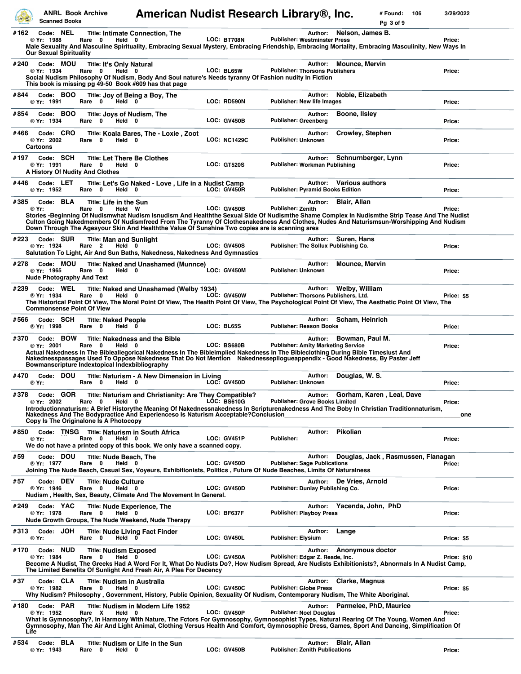|              | <b>Scanned Books</b>                                        | <b>ANRL Book Archive</b>                                                                  | American Nudist Research Library®, Inc.                                                                                                                                                                                                                                                                                                                                                    |                     |                                                      |                                   | # Found:<br>106<br>Pg 3 of 9       | 3/29/2022          |
|--------------|-------------------------------------------------------------|-------------------------------------------------------------------------------------------|--------------------------------------------------------------------------------------------------------------------------------------------------------------------------------------------------------------------------------------------------------------------------------------------------------------------------------------------------------------------------------------------|---------------------|------------------------------------------------------|-----------------------------------|------------------------------------|--------------------|
| #162         | Code: NEL<br>® Yr: 1988<br><b>Our Sexual Spirituality</b>   | 0<br>Rare<br>Held 0                                                                       | <b>Title: Intimate Connection, The</b><br>Male Sexuality And Masculine Spirituality, Embracing Sexual Mystery, Embracing Friendship, Embracing Mortality, Embracing Masculinity, New Ways In                                                                                                                                                                                               | LOC: BT708N         | Author:<br><b>Publisher: Westminster Press</b>       | Nelson, James B.                  |                                    | Price:             |
| #240         | Code: MOU<br>® Yr: 1934                                     | <b>Title: It's Only Natural</b><br>Rare 0<br>Held 0                                       | Social Nudism Philosophy Of Nudism, Body And Soul nature's Needs tyranny Of Fashion nudity In Fiction<br>This book is missing pg 49-50 Book #609 has that page                                                                                                                                                                                                                             | LOC: BL65W          | Author:<br><b>Publisher: Thorsons Publishers</b>     | <b>Mounce, Mervin</b>             |                                    | Price:             |
| #844         | Code: BOO<br>® Yr: 1991                                     | Rare 0<br>Held 0                                                                          | Title: Joy of Being a Boy, The                                                                                                                                                                                                                                                                                                                                                             | LOC: RD590N         | Author:<br><b>Publisher: New life Images</b>         | Noble, Elizabeth                  |                                    | Price:             |
| #854         | Code: BOO<br>® Yr: 1934                                     | Title: Joys of Nudism, The<br>Rare 0<br>Held 0                                            |                                                                                                                                                                                                                                                                                                                                                                                            | <b>LOC: GV450B</b>  | Author:<br>Publisher: Greenberg                      | Boone, Ilsley                     |                                    | Price:             |
| #466         | Code: CRO<br>® Yr: 2002<br><b>Cartoons</b>                  | Rare 0<br>Held 0                                                                          | Title: Koala Bares, The - Loxie, Zoot                                                                                                                                                                                                                                                                                                                                                      | <b>LOC: NC1429C</b> | Author:<br>Publisher: Unknown                        | Crowley, Stephen                  |                                    | Price:             |
| #197         | Code: SCH<br>® Yr: 1991                                     | <b>Title: Let There Be Clothes</b><br>Rare 0<br>Held 0<br>A History Of Nudity And Clothes |                                                                                                                                                                                                                                                                                                                                                                                            | <b>LOC: GT520S</b>  | Author:<br>Publisher: Workman Publishing             | Schnurnberger, Lynn               |                                    | Price:             |
| #446         | Code: LET<br>® Yr: 1952                                     | Rare 0<br>Held 0                                                                          | Title: Let's Go Naked - Love, Life in a Nudist Camp                                                                                                                                                                                                                                                                                                                                        | <b>LOC: GV450R</b>  | Author:<br><b>Publisher: Pyramid Books Edition</b>   | <b>Various authors</b>            |                                    | Price:             |
| #385         | Code: BLA<br>® Yr:                                          | Title: Life in the Sun<br>Rare 0<br>Held W                                                | Stories -Beginning Of Nudismwhat Nudism Isnudism And Healththe Sexual Side Of Nudismthe Shame Complex In Nudismthe Strip Tease And The Nudist<br>Culton Going Nakedmembers Of Nudismfreed From The Tyranny Of Clothesnakedness And Clothes, Nudes And Naturismsun-Worshipping And Nudism<br>Down Through The Agesyour Skin And Healththe Value Of Sunshine Two copies are is scanning ares | <b>LOC: GV450B</b>  | Author:<br><b>Publisher: Zenith</b>                  | <b>Blair, Allan</b>               |                                    | Price:             |
| #223         | Code: SUR<br>® Yr: 1924                                     | <b>Title: Man and Sunlight</b><br>Rare <sub>2</sub><br>Held 0                             | Salutation To Light, Air And Sun Baths, Nakedness, Nakedness And Gymnastics                                                                                                                                                                                                                                                                                                                | <b>LOC: GV450S</b>  | Author:<br>Publisher: The Sollux Publishing Co.      | Suren, Hans                       |                                    | Price:             |
| #278         | Code: MOU<br>® Yr: 1965<br><b>Nude Photography And Text</b> | Rare<br>$\mathbf{0}$<br>Held 0                                                            | Title: Naked and Unashamed (Munnce)                                                                                                                                                                                                                                                                                                                                                        | LOC: GV450M         | Author:<br><b>Publisher: Unknown</b>                 | <b>Mounce, Mervin</b>             |                                    | Price:             |
| #239         | Code: WEL<br>® Yr: 1934<br><b>Commonsense Point Of View</b> | Rare 0<br>Held 0                                                                          | Title: Naked and Unashamed (Welby 1934)<br>The Historical Point Of View, The Moral Point Of View, The Health Point Of View, The Psychological Point Of View, The Aesthetic Point Of View, The                                                                                                                                                                                              | <b>LOC: GV450W</b>  | Author:<br>Publisher: Thorsons Publishers, Ltd.      | Welby, William                    |                                    | Price: \$5         |
| #566         | Code: SCH<br>® Yr: 1998                                     | <b>Title: Naked People</b><br>Rare 0<br>Held 0                                            |                                                                                                                                                                                                                                                                                                                                                                                            | LOC: BL65S          | Author:<br><b>Publisher: Reason Books</b>            | Scham, Heinrich                   |                                    | Price:             |
| #370         | Code: BOW<br>® Yr: 2001                                     | Rare 0<br>Held 0<br>Bowmanscripture Indextopical Indexbibliography                        | <b>Title: Nakedness and the Bible</b><br>Actual Nakedness In The Bibleallegorical Nakedness In The Bibleimplied Nakedness In The Bibleclothing During Bible Timeslust And<br>Nakednesspassages Used To Oppose Nakedness That Do Not Mention Nakednessepilogueappendix - Good Nakedness, By Paster Jeff                                                                                     | LOC: BS680B         | Author:<br><b>Publisher: Amity Marketing Service</b> | Bowman, Paul M.                   |                                    | Price:             |
| #470         | Code: DOU<br>® Yr:                                          | Rare 0<br>Held 0                                                                          | Title: Naturism - A New Dimension in Living                                                                                                                                                                                                                                                                                                                                                | LOC: GV450D         | Author:<br>Publisher: Unknown                        | Douglas, W. S.                    |                                    | Price:             |
| #378         | Code: GOR<br>® Yr: 2002                                     | Held 0<br>Rare 0<br>Copy Is The Originalone Is A Photocopy                                | Title: Naturism and Christianity: Are They Compatible?<br>Introductionnaturism: A Brief Historythe Meaning Of Nakednessnakedness In Scripturenakedness And The Boby In Christian Traditionnaturism,<br>Nakedness And The Bodypractice And Experienceso Is Naturism Acceptable?Conclusion_                                                                                                  | <b>LOC: BS610G</b>  | <b>Publisher: Grove Books Limited</b>                | Author: Gorham, Karen, Leal, Dave |                                    | Price:<br>one      |
| #850         | ® Yr:                                                       | Code: TNSG Title: Naturism in South Africa<br>Rare 0<br>Held 0                            | We do not have a printed copy of this book. We only have a scanned copy.                                                                                                                                                                                                                                                                                                                   | <b>LOC: GV451P</b>  | Author:<br>Publisher:                                | Pikolian                          |                                    | Price:             |
| #59          | Code: DOU<br>® Yr: 1977                                     | Title: Nude Beach, The<br>Rare 0<br>Held 0                                                | Joining The Nude Beach, Casual Sex, Voyeurs, Exhibitionists, Politics, Future Of Nude Beaches, Limits Of Naturalness                                                                                                                                                                                                                                                                       | <b>LOC: GV450D</b>  | Author:<br><b>Publisher: Sage Publications</b>       |                                   | Douglas, Jack, Rasmussen, Flanagan | Price:             |
| #57          | Code: DEV<br>® Yr: 1946                                     | <b>Title: Nude Culture</b><br>Rare 0<br>Held 0                                            | Nudism, Health, Sex, Beauty, Climate And The Movement In General.                                                                                                                                                                                                                                                                                                                          | <b>LOC: GV450D</b>  | Publisher: Dunlay Publishing Co.                     | Author: De Vries, Arnold          |                                    | Price:             |
| #249         | Code: YAC<br>® Yr: 1978                                     | <b>Title: Nude Experience, The</b><br>Rare 0<br>Held 0                                    | Nude Growth Groups, The Nude Weekend, Nude Therapy                                                                                                                                                                                                                                                                                                                                         | LOC: BF637F         | Author:<br><b>Publisher: Playboy Press</b>           | Yacenda, John, PhD                |                                    | Price:             |
| #313         | Code: JOH<br>® Yr:                                          | Rare 0<br>Held 0                                                                          | <b>Title: Nude Living Fact Finder</b>                                                                                                                                                                                                                                                                                                                                                      | LOC: GV450L         | Author:<br><b>Publisher: Elysium</b>                 | Lange                             |                                    | Price: \$5         |
| #170         | Code: NUD<br>® Yr: 1984                                     | <b>Title: Nudism Exposed</b><br>Rare<br>0<br>Held 0                                       | Become A Nudist, The Greeks Had A Word For It, What Do Nudists Do?, How Nudism Spread, Are Nudists Exhibitionists?, Abnormals In A Nudist Camp,<br>The Limited Benefits Of Sunlight And Fresh Air, A Plea For Decency                                                                                                                                                                      | LOC: GV450A         | Author:<br>Publisher: Edgar Z. Reade, Inc.           | Anonymous doctor                  |                                    | <b>Price: \$10</b> |
| #37          | Code: CLA<br>® Yr: 1982                                     | <b>Title: Nudism in Australia</b><br>Rare<br>Held 0<br>0                                  | Why Nudism? Philosophy, Government, History, Public Opinion, Sexuality Of Nudism, Contemporary Nudism, The White Aboriginal.                                                                                                                                                                                                                                                               | <b>LOC: GV450C</b>  | Author:<br><b>Publisher: Globe Press</b>             | Clarke, Magnus                    |                                    | Price: \$5         |
| #180<br>Life | Code: PAR<br>® Yr: 1952                                     | Rare X<br>Held 0                                                                          | Title: Nudism in Modern Life 1952<br>What Is Gymnosophy?, In Harmony With Nature, The Fctors For Gymnosophy, Gymnosophist Types, Natural Rearing Of The Young, Women And<br>Gymnosophy, Man The Air And Light Animal, Clothing Versus Health And Comfort, Gymnosophic Dress, Games, Sport And Dancing, Simplification Of                                                                   | LOC: GV450P         | Author:<br><b>Publisher: Noel Douglas</b>            | Parmelee, PhD, Maurice            |                                    | Price:             |
| #534         | Code: BLA<br>® Yr: 1943                                     | Rare 0<br>Held 0                                                                          | Title: Nudism or Life in the Sun                                                                                                                                                                                                                                                                                                                                                           | <b>LOC: GV450B</b>  | Author:<br><b>Publisher: Zenith Publications</b>     | <b>Blair, Allan</b>               |                                    | Price:             |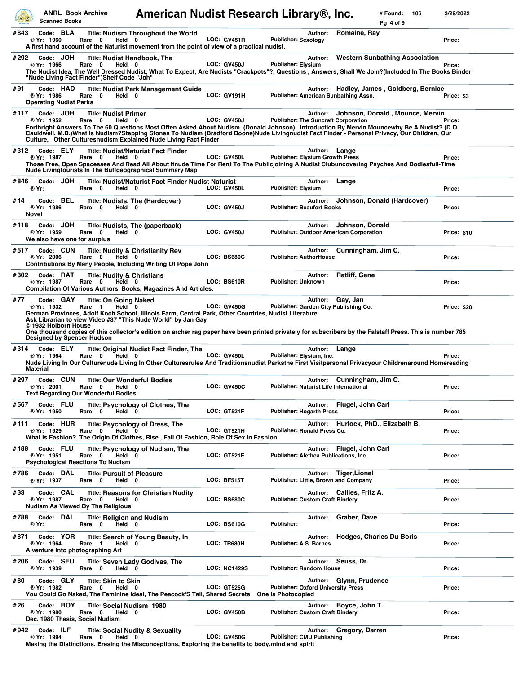|      | <b>ANRL Book Archive</b><br><b>Scanned Books</b>                                     |                                                                                                      | American Nudist Research Library®, Inc.                                                                                                                                                                                                                                                                                                                       |                     |                                                                 |               |                           | # Found:<br>Pg 4 of 9                 | 106 | 3/29/2022          |
|------|--------------------------------------------------------------------------------------|------------------------------------------------------------------------------------------------------|---------------------------------------------------------------------------------------------------------------------------------------------------------------------------------------------------------------------------------------------------------------------------------------------------------------------------------------------------------------|---------------------|-----------------------------------------------------------------|---------------|---------------------------|---------------------------------------|-----|--------------------|
| #843 | Code: BLA<br>® Yr: 1960                                                              | Rare 0<br>Held 0                                                                                     | <b>Title: Nudism Throughout the World</b><br>A first hand account of the Naturist movement from the point of view of a practical nudist.                                                                                                                                                                                                                      | <b>LOC: GV451R</b>  | <b>Publisher: Sexology</b>                                      | Author:       | Romaine, Ray              |                                       |     | Price:             |
| #292 | Code: JOH<br>® Yr: 1966                                                              | <b>Title: Nudist Handbook, The</b><br>Rare 0<br>Held 0<br>"Nude Living Fact Finder")Shelf Code "Joh" | The Nudist Idea, The Well Dressed Nudist, What To Expect, Are Nudists "Crackpots"?, Questions , Answers, Shall We Join?(Included In The Books Binder                                                                                                                                                                                                          | <b>LOC: GV450J</b>  | <b>Publisher: Elysium</b>                                       | Author:       |                           | <b>Western Sunbathing Association</b> |     | Price:             |
| #91  | Code: HAD<br>® Yr: 1986<br><b>Operating Nudist Parks</b>                             | Rare 0 Held 0                                                                                        | <b>Title: Nudist Park Management Guide</b>                                                                                                                                                                                                                                                                                                                    | <b>LOC: GV191H</b>  | Publisher: American Sunbathing Assn.                            | Author:       |                           | Hadley, James, Goldberg, Bernice      |     | Price: \$3         |
| #117 | Code: JOH<br>® Yr: 1952                                                              | <b>Title: Nudist Primer</b><br>Rare 0<br>Held 0                                                      | Forthright Answers To The 60 Questions Most Often Asked About Nudism. (Donald Johnson) Introduction By Mervin Mouncewhy Be A Nudist? (D.O.<br>Cauldwell, M.D.)What Is Nudism?Stepping Stones To Nudism (Bradford Boone)Nude Livingnudist Fact Finder - Personal Privacy, Our Children, Our<br>Culture, Other Culturesnudism Explained Nude Living Fact Finder | <b>LOC: GV450J</b>  | <b>Publisher: The Suncraft Corporation</b>                      | Author:       |                           | Johnson, Donald, Mounce, Mervin       |     | Price:             |
| #312 | Code: ELY<br>® Yr: 1987                                                              | Rare 0<br>Held 0                                                                                     | <b>Title: Nudist/Naturist Fact Finder</b><br>Those Free, Open Spacessee And Read All About Itnude Time For Rent To The Publicjoining A Nudist Clubuncovering Psyches And Bodiesfull-Time<br>Nude Livingtourists In The Buffgeographical Summary Map                                                                                                           | LOC: GV450L         | <b>Publisher: Elysium Growth Press</b>                          | Author: Lange |                           |                                       |     | Price:             |
| #846 | Code: JOH<br>® Yr:                                                                   | Rare 0<br>Held 0                                                                                     | Title: Nudist/Naturist Fact Finder Nudist Naturist                                                                                                                                                                                                                                                                                                            | LOC: GV450L         | <b>Publisher: Elysium</b>                                       | Author:       | Lange                     |                                       |     | Price:             |
| #14  | Code: BEL<br>® Yr: 1986<br>Novel                                                     | $\mathbf 0$<br>Held 0<br>Rare                                                                        | <b>Title: Nudists, The (Hardcover)</b>                                                                                                                                                                                                                                                                                                                        | <b>LOC: GV450J</b>  | <b>Publisher: Beaufort Books</b>                                | Author:       |                           | Johnson, Donald (Hardcover)           |     | Price:             |
| #118 | Code: JOH<br>® Yr: 1959<br>We also have one for surplus                              | Rare 0<br>Held 0                                                                                     | Title: Nudists, The (paperback)                                                                                                                                                                                                                                                                                                                               | <b>LOC: GV450J</b>  | <b>Publisher: Outdoor American Corporation</b>                  | Author:       | Johnson, Donald           |                                       |     | <b>Price: \$10</b> |
| #517 | Code: CUN<br>® Yr: 2006                                                              | Rare 0<br>Held 0                                                                                     | <b>Title: Nudity &amp; Christianity Rev</b><br>Contributions By Many People, Including Writing Of Pope John                                                                                                                                                                                                                                                   | LOC: BS680C         | <b>Publisher: AuthorHouse</b>                                   | Author:       |                           | Cunningham, Jim C.                    |     | Price:             |
| #302 | Code: RAT<br>® Yr: 1987                                                              | <b>Title: Nudity &amp; Christians</b><br>Rare 0<br>Held 0                                            | <b>Compilation Of Various Authors' Books, Magazines And Articles.</b>                                                                                                                                                                                                                                                                                         | LOC: BS610R         | Publisher: Unknown                                              | Author:       | <b>Ratliff, Gene</b>      |                                       |     | Price:             |
| #77  | Code: GAY<br>® Yr: 1932<br>© 1932 Holborn House<br><b>Designed by Spencer Hudson</b> | <b>Title: On Going Naked</b><br>Rare 1<br>Held 0                                                     | German Provinces, Adolf Koch School, Illinois Farm, Central Park, Other Countries, Nudist Literature<br>Ask Librarian to view Video #37 "This Nude World" by Jan Gay<br>One thousand copies of this collector's edition on archer rag paper have been printed privately for subscribers by the Falstaff Press. This is number 785                             | <b>LOC: GV450G</b>  | Publisher: Garden City Publishing Co.                           | Author:       | Gay, Jan                  |                                       |     | Price: \$20        |
| #314 | Code: ELY<br>® Yr: 1964<br>Material                                                  | Rare 0<br>Held 0                                                                                     | Title: Original Nudist Fact Finder, The<br>Nude Living In Our Culturenude Living In Other Culturesrules And Traditionsnudist Parksthe First Visitpersonal Privacyour Childrenaround Homereading                                                                                                                                                               | LOC: GV450L         | Publisher: Elysium, Inc.                                        | Author:       | Lange                     |                                       |     | Price:             |
| #297 | Code: CUN<br>® Yr: 2001                                                              | <b>Title: Our Wonderful Bodies</b><br>Rare 0<br>Held 0<br>Text Regarding Our Wonderful Bodies.       |                                                                                                                                                                                                                                                                                                                                                               | <b>LOC: GV450C</b>  | <b>Publisher: Naturist Life International</b>                   |               |                           | Author: Cunningham, Jim C.            |     | Price:             |
| #567 | Code: FLU<br>® Yr: 1950                                                              | Rare 0<br>Held 0                                                                                     | Title: Psychology of Clothes, The                                                                                                                                                                                                                                                                                                                             | <b>LOC: GT521F</b>  | <b>Publisher: Hogarth Press</b>                                 |               | Author: Flugel, John Carl |                                       |     | Price:             |
| #111 | Code: HUR<br>® Yr: 1929                                                              | Rare 0<br>Held 0                                                                                     | Title: Psychology of Dress, The<br>What Is Fashion?, The Origin Of Clothes, Rise, Fall Of Fashion, Role Of Sex In Fashion                                                                                                                                                                                                                                     | LOC: GT521H         | <b>Publisher: Ronald Press Co.</b>                              | Author:       |                           | Hurlock, PhD., Elizabeth B.           |     | Price:             |
| #188 | Code: FLU<br>® Yr: 1951                                                              | Rare 0<br>Held 0<br><b>Psychological Reactions To Nudism</b>                                         | Title: Psychology of Nudism, The                                                                                                                                                                                                                                                                                                                              | LOC: GT521F         | Publisher: Alethea Publications, Inc.                           |               | Author: Flugel, John Carl |                                       |     | Price:             |
| #786 | Code: DAL<br>® Yr: 1937                                                              | <b>Title: Pursuit of Pleasure</b><br>Held 0<br>Rare 0                                                |                                                                                                                                                                                                                                                                                                                                                               | LOC: BF515T         | Publisher: Little, Brown and Company                            |               | Author: Tiger, Lionel     |                                       |     | Price:             |
| #33  | Code: CAL<br>® Yr: 1987                                                              | Rare 0<br>Held 0<br><b>Nudism As Viewed By The Religious</b>                                         | <b>Title: Reasons for Christian Nudity</b>                                                                                                                                                                                                                                                                                                                    | LOC: BS680C         | Publisher: Custom Craft Bindery                                 |               | Author: Callies, Fritz A. |                                       |     | Price:             |
| #788 | Code: DAL<br>® Yr:                                                                   | <b>Title: Religion and Nudism</b><br>Rare 0<br>Held 0                                                |                                                                                                                                                                                                                                                                                                                                                               | LOC: BS610G         | Publisher:                                                      | Author:       | Graber, Dave              |                                       |     | Price:             |
| #871 | Code: YOR<br>® Yr: 1964<br>A venture into photographing Art                          | Rare 1<br>Held 0                                                                                     | Title: Search of Young Beauty, In                                                                                                                                                                                                                                                                                                                             | <b>LOC: TR680H</b>  | <b>Publisher: A.S. Barnes</b>                                   | Author:       |                           | <b>Hodges, Charles Du Boris</b>       |     | Price:             |
|      | #206 Code: SEU<br>® Yr: 1939                                                         | Rare 0<br>Held 0                                                                                     | <b>Title: Seven Lady Godivas, The</b>                                                                                                                                                                                                                                                                                                                         | <b>LOC: NC1429S</b> | <b>Publisher: Random House</b>                                  | Author:       | Seuss, Dr.                |                                       |     | Price:             |
| #80  | Code: GLY<br>® Yr: 1982                                                              | <b>Title: Skin to Skin</b><br>Held 0<br>Rare<br>0                                                    | You Could Go Naked, The Feminine Ideal, The Peacock'S Tail, Shared Secrets                                                                                                                                                                                                                                                                                    | <b>LOC: GT525G</b>  | <b>Publisher: Oxford University Press</b><br>One Is Photocopied |               | Author: Glynn, Prudence   |                                       |     | Price:             |
| #26  | Code: BOY<br>® Yr: 1980<br>Dec. 1980 Thesis, Social Nudism                           | Title: Social Nudism 1980<br>Rare 0<br>Held 0                                                        |                                                                                                                                                                                                                                                                                                                                                               | LOC: GV450B         | Publisher: Custom Craft Bindery                                 | Author:       | Boyce, John T.            |                                       |     | Price:             |
| #942 | Code: ILF<br>® Yr: 1994                                                              | Rare 0<br>Held 0                                                                                     | <b>Title: Social Nudity &amp; Sexuality</b><br>Making the Distinctions, Erasing the Misconceptions, Exploring the benefits to body, mind and spirit                                                                                                                                                                                                           | <b>LOC: GV450G</b>  | Publisher: CMU Publishing                                       | Author:       | Gregory, Darren           |                                       |     | Price:             |